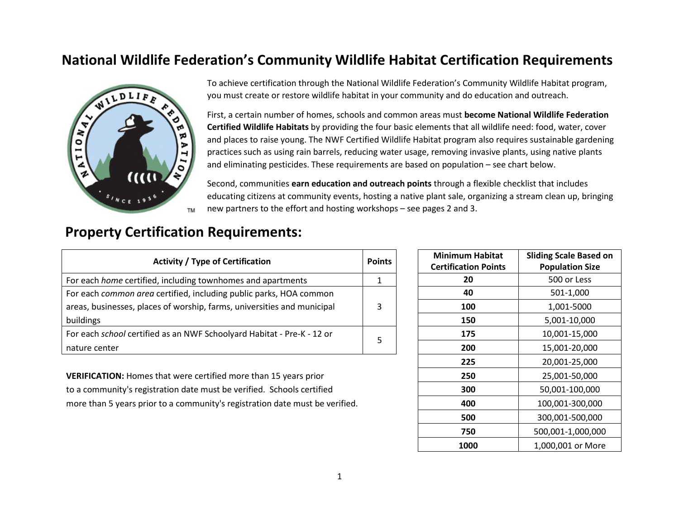## **National Wildlife Federation's Community Wildlife Habitat Certification Requirements**



To achieve certification through the National Wildlife Federation's Community Wildlife Habitat program, you must create or restore wildlife habitat in your community and do education and outreach.

First, a certain number of homes, schools and common areas must **become National Wildlife Federation Certified Wildlife Habitats** by providing the four basic elements that all wildlife need: food, water, cover and places to raise young. The NWF Certified Wildlife Habitat program also requires sustainable gardening practices such as using rain barrels, reducing water usage, removing invasive plants, using native plants and eliminating pesticides. These requirements are based on population – see chart below.

Second, communities **earn education and outreach points** through a flexible checklist that includes educating citizens at community events, hosting a native plant sale, organizing a stream clean up, bringing new partners to the effort and hosting workshops – see pages 2 and 3.

## **Property Certification Requirements:**

| <b>Activity / Type of Certification</b>                                 | <b>Points</b> | <b>Minimum Habitat</b><br><b>Certification Points</b> | <b>Sliding Scale Based</b><br><b>Population Size</b> |
|-------------------------------------------------------------------------|---------------|-------------------------------------------------------|------------------------------------------------------|
| For each home certified, including townhomes and apartments             |               | 20                                                    | 500 or Less                                          |
| For each common area certified, including public parks, HOA common      |               | 40                                                    | 501-1,000                                            |
| areas, businesses, places of worship, farms, universities and municipal |               | 100                                                   | 1,001-5000                                           |
| buildings                                                               |               | 150                                                   | 5,001-10,000                                         |
| For each school certified as an NWF Schoolyard Habitat - Pre-K - 12 or  |               | 175                                                   | 10,001-15,000                                        |
| nature center                                                           |               | 200                                                   | 15,001-20,000                                        |

**VERIFICATION:** Homes that were certified more than 15 years priorto a community's registration date must be verified. Schools certified more than 5 years prior to a community's registration date must be verified.

|             | <b>Points</b> | <b>Minimum Habitat</b>      | <b>Sliding Scale Based on</b> |
|-------------|---------------|-----------------------------|-------------------------------|
|             |               | <b>Certification Points</b> | <b>Population Size</b>        |
|             | $\mathbf{1}$  | 20                          | 500 or Less                   |
| าon         |               | 40                          | 501-1,000                     |
| ipal        | 3             | 100                         | 1,001-5000                    |
|             |               | 150                         | 5,001-10,000                  |
| ' or        | 5             | 175                         | 10,001-15,000                 |
|             |               | 200                         | 15,001-20,000                 |
|             |               | 225                         | 20,001-25,000                 |
| r           |               | 250                         | 25,001-50,000                 |
| ied         |               | 300                         | 50,001-100,000                |
| e verified. |               | 400                         | 100,001-300,000               |
|             |               | 500                         | 300,001-500,000               |
|             |               | 750                         | 500,001-1,000,000             |
|             |               | 1000                        | 1,000,001 or More             |
|             |               |                             |                               |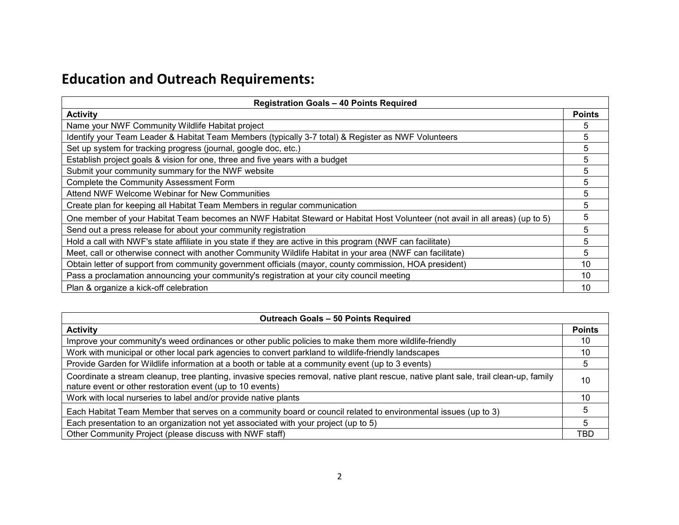## **Education and Outreach Requirements:**

| <b>Registration Goals - 40 Points Required</b>                                                                              |                 |  |
|-----------------------------------------------------------------------------------------------------------------------------|-----------------|--|
| <b>Activity</b>                                                                                                             | <b>Points</b>   |  |
| Name your NWF Community Wildlife Habitat project                                                                            | 5               |  |
| Identify your Team Leader & Habitat Team Members (typically 3-7 total) & Register as NWF Volunteers                         | 5               |  |
| Set up system for tracking progress (journal, google doc, etc.)                                                             | 5               |  |
| Establish project goals & vision for one, three and five years with a budget                                                | 5               |  |
| Submit your community summary for the NWF website                                                                           | 5               |  |
| Complete the Community Assessment Form                                                                                      | 5               |  |
| Attend NWF Welcome Webinar for New Communities                                                                              | 5               |  |
| Create plan for keeping all Habitat Team Members in regular communication                                                   | 5               |  |
| One member of your Habitat Team becomes an NWF Habitat Steward or Habitat Host Volunteer (not avail in all areas) (up to 5) | 5               |  |
| Send out a press release for about your community registration                                                              | 5               |  |
| Hold a call with NWF's state affiliate in you state if they are active in this program (NWF can facilitate)                 | 5               |  |
| Meet, call or otherwise connect with another Community Wildlife Habitat in your area (NWF can facilitate)                   | 5               |  |
| Obtain letter of support from community government officials (mayor, county commission, HOA president)                      | 10              |  |
| Pass a proclamation announcing your community's registration at your city council meeting                                   | 10 <sup>1</sup> |  |
| Plan & organize a kick-off celebration                                                                                      | 10              |  |

| <b>Outreach Goals - 50 Points Required</b>                                                                                                                                                        |               |  |
|---------------------------------------------------------------------------------------------------------------------------------------------------------------------------------------------------|---------------|--|
| <b>Activity</b>                                                                                                                                                                                   | <b>Points</b> |  |
| Improve your community's weed ordinances or other public policies to make them more wildlife-friendly                                                                                             | 10            |  |
| Work with municipal or other local park agencies to convert parkland to wildlife-friendly landscapes                                                                                              | 10            |  |
| Provide Garden for Wildlife information at a booth or table at a community event (up to 3 events)                                                                                                 | 5             |  |
| Coordinate a stream cleanup, tree planting, invasive species removal, native plant rescue, native plant sale, trail clean-up, family<br>nature event or other restoration event (up to 10 events) | 10            |  |
| Work with local nurseries to label and/or provide native plants                                                                                                                                   | 10            |  |
| Each Habitat Team Member that serves on a community board or council related to environmental issues (up to 3)                                                                                    |               |  |
| Each presentation to an organization not yet associated with your project (up to 5)                                                                                                               | 5             |  |
| Other Community Project (please discuss with NWF staff)                                                                                                                                           | TBD           |  |